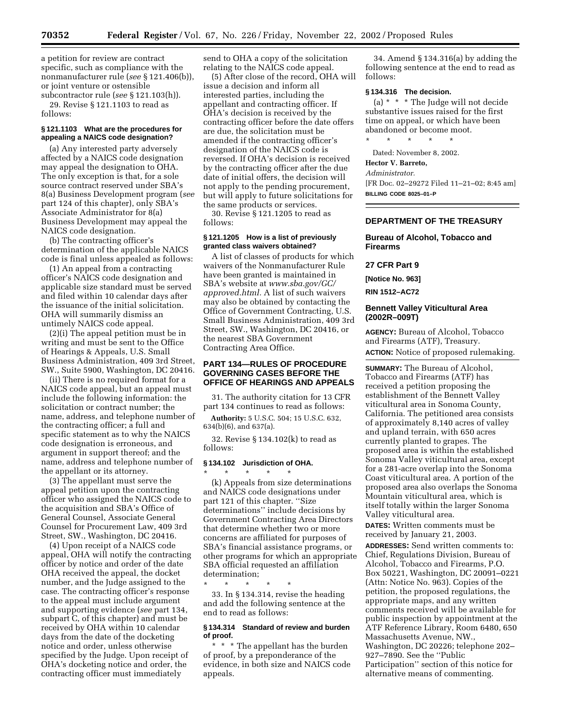a petition for review are contract specific, such as compliance with the nonmanufacturer rule (*see* § 121.406(b)), or joint venture or ostensible subcontractor rule (*see* § 121.103(h)).

29. Revise § 121.1103 to read as follows:

# **§ 121.1103 What are the procedures for appealing a NAICS code designation?**

(a) Any interested party adversely affected by a NAICS code designation may appeal the designation to OHA. The only exception is that, for a sole source contract reserved under SBA's 8(a) Business Development program (*see* part 124 of this chapter), only SBA's Associate Administrator for 8(a) Business Development may appeal the NAICS code designation.

(b) The contracting officer's determination of the applicable NAICS code is final unless appealed as follows:

(1) An appeal from a contracting officer's NAICS code designation and applicable size standard must be served and filed within 10 calendar days after the issuance of the initial solicitation. OHA will summarily dismiss an untimely NAICS code appeal.

(2)(i) The appeal petition must be in writing and must be sent to the Office of Hearings & Appeals, U.S. Small Business Administration, 409 3rd Street, SW., Suite 5900, Washington, DC 20416.

(ii) There is no required format for a NAICS code appeal, but an appeal must include the following information: the solicitation or contract number; the name, address, and telephone number of the contracting officer; a full and specific statement as to why the NAICS code designation is erroneous, and argument in support thereof; and the name, address and telephone number of the appellant or its attorney.

(3) The appellant must serve the appeal petition upon the contracting officer who assigned the NAICS code to the acquisition and SBA's Office of General Counsel, Associate General Counsel for Procurement Law, 409 3rd Street, SW., Washington, DC 20416.

(4) Upon receipt of a NAICS code appeal, OHA will notify the contracting officer by notice and order of the date OHA received the appeal, the docket number, and the Judge assigned to the case. The contracting officer's response to the appeal must include argument and supporting evidence (*see* part 134, subpart C, of this chapter) and must be received by OHA within 10 calendar days from the date of the docketing notice and order, unless otherwise specified by the Judge. Upon receipt of OHA's docketing notice and order, the contracting officer must immediately

send to OHA a copy of the solicitation relating to the NAICS code appeal.

(5) After close of the record, OHA will issue a decision and inform all interested parties, including the appellant and contracting officer. If OHA's decision is received by the contracting officer before the date offers are due, the solicitation must be amended if the contracting officer's designation of the NAICS code is reversed. If OHA's decision is received by the contracting officer after the due date of initial offers, the decision will not apply to the pending procurement, but will apply to future solicitations for the same products or services.

30. Revise § 121.1205 to read as follows:

# **§ 121.1205 How is a list of previously granted class waivers obtained?**

A list of classes of products for which waivers of the Nonmanufacturer Rule have been granted is maintained in SBA's website at *www.sba.gov/GC/ approved.html.* [A list of such waivers](http://www.sba.gov/GC/approved.html)  may also be obtained by contacting the Office of Government Contracting, U.S. Small Business Administration, 409 3rd Street, SW., Washington, DC 20416, or the nearest SBA Government Contracting Area Office.

# **PART 134—RULES OF PROCEDURE GOVERNING CASES BEFORE THE OFFICE OF HEARINGS AND APPEALS**

31. The authority citation for 13 CFR part 134 continues to read as follows:

**Authority:** 5 U.S.C. 504; 15 U.S.C. 632, 634(b)(6), and 637(a).

32. Revise § 134.102(k) to read as follows:

#### **§ 134.102 Jurisdiction of OHA.**

\* \* \* \* \* (k) Appeals from size determinations and NAICS code designations under part 121 of this chapter. ''Size determinations'' include decisions by Government Contracting Area Directors that determine whether two or more concerns are affiliated for purposes of SBA's financial assistance programs, or other programs for which an appropriate SBA official requested an affiliation determination;

33. In § 134.314, revise the heading and add the following sentence at the end to read as follows:

\* \* \* \* \*

## **§ 134.314 Standard of review and burden of proof.**

\* \* \* The appellant has the burden of proof, by a preponderance of the evidence, in both size and NAICS code appeals.

34. Amend § 134.316(a) by adding the following sentence at the end to read as follows:

# **§ 134.316 The decision.**

(a) \* \* \* The Judge will not decide substantive issues raised for the first time on appeal, or which have been abandoned or become moot. \* \* \* \* \*

Dated: November 8, 2002.

**Hector V. Barreto,** 

*Administrator.*

[FR Doc. 02–29272 Filed 11–21–02; 8:45 am] **BILLING CODE 8025–01–P**

# **DEPARTMENT OF THE TREASURY**

## **Bureau of Alcohol, Tobacco and Firearms**

## **27 CFR Part 9**

**[Notice No. 963]** 

**RIN 1512–AC72** 

# **Bennett Valley Viticultural Area (2002R–009T)**

**AGENCY:** Bureau of Alcohol, Tobacco and Firearms (ATF), Treasury. **ACTION:** Notice of proposed rulemaking.

**SUMMARY:** The Bureau of Alcohol, Tobacco and Firearms (ATF) has received a petition proposing the establishment of the Bennett Valley viticultural area in Sonoma County, California. The petitioned area consists of approximately 8,140 acres of valley and upland terrain, with 650 acres currently planted to grapes. The proposed area is within the established Sonoma Valley viticultural area, except for a 281-acre overlap into the Sonoma Coast viticultural area. A portion of the proposed area also overlaps the Sonoma Mountain viticultural area, which is itself totally within the larger Sonoma Valley viticultural area.

**DATES:** Written comments must be received by January 21, 2003.

**ADDRESSES:** Send written comments to: Chief, Regulations Division, Bureau of Alcohol, Tobacco and Firearms, P.O. Box 50221, Washington, DC 20091–0221 (Attn: Notice No. 963). Copies of the petition, the proposed regulations, the appropriate maps, and any written comments received will be available for public inspection by appointment at the ATF Reference Library, Room 6480, 650 Massachusetts Avenue, NW., Washington, DC 20226; telephone 202– 927–7890. See the ''Public Participation'' section of this notice for alternative means of commenting.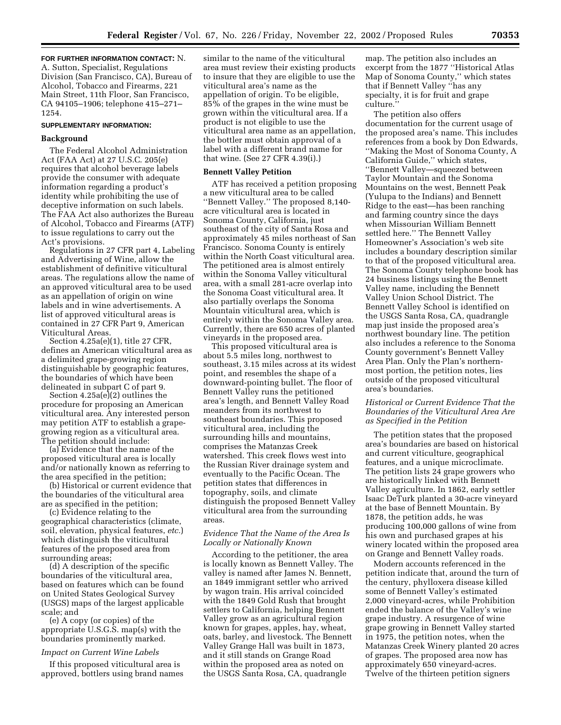**FOR FURTHER INFORMATION CONTACT:** N. A. Sutton, Specialist, Regulations Division (San Francisco, CA), Bureau of Alcohol, Tobacco and Firearms, 221 Main Street, 11th Floor, San Francisco, CA 94105–1906; telephone 415–271– 1254.

## **SUPPLEMENTARY INFORMATION:**

#### **Background**

The Federal Alcohol Administration Act (FAA Act) at 27 U.S.C. 205(e) requires that alcohol beverage labels provide the consumer with adequate information regarding a product's identity while prohibiting the use of deceptive information on such labels. The FAA Act also authorizes the Bureau of Alcohol, Tobacco and Firearms (ATF) to issue regulations to carry out the Act's provisions.

Regulations in 27 CFR part 4, Labeling and Advertising of Wine, allow the establishment of definitive viticultural areas. The regulations allow the name of an approved viticultural area to be used as an appellation of origin on wine labels and in wine advertisements. A list of approved viticultural areas is contained in 27 CFR Part 9, American Viticultural Areas.

Section 4.25a(e)(1), title 27 CFR, defines an American viticultural area as a delimited grape-growing region distinguishable by geographic features, the boundaries of which have been delineated in subpart C of part 9.

Section  $4.25a(e)(2)$  outlines the procedure for proposing an American viticultural area. Any interested person may petition ATF to establish a grapegrowing region as a viticultural area. The petition should include:

(a) Evidence that the name of the proposed viticultural area is locally and/or nationally known as referring to the area specified in the petition;

(b) Historical or current evidence that the boundaries of the viticultural area are as specified in the petition;

(c) Evidence relating to the geographical characteristics (climate, soil, elevation, physical features, *etc.*) which distinguish the viticultural features of the proposed area from surrounding areas;

(d) A description of the specific boundaries of the viticultural area, based on features which can be found on United States Geological Survey (USGS) maps of the largest applicable scale; and

(e) A copy (or copies) of the appropriate U.S.G.S. map(s) with the boundaries prominently marked.

# *Impact on Current Wine Labels*

If this proposed viticultural area is approved, bottlers using brand names similar to the name of the viticultural area must review their existing products to insure that they are eligible to use the viticultural area's name as the appellation of origin. To be eligible, 85% of the grapes in the wine must be grown within the viticultural area. If a product is not eligible to use the viticultural area name as an appellation, the bottler must obtain approval of a label with a different brand name for that wine. (See 27 CFR 4.39(i).)

## **Bennett Valley Petition**

ATF has received a petition proposing a new viticultural area to be called ''Bennett Valley.'' The proposed 8,140 acre viticultural area is located in Sonoma County, California, just southeast of the city of Santa Rosa and approximately 45 miles northeast of San Francisco. Sonoma County is entirely within the North Coast viticultural area. The petitioned area is almost entirely within the Sonoma Valley viticultural area, with a small 281-acre overlap into the Sonoma Coast viticultural area. It also partially overlaps the Sonoma Mountain viticultural area, which is entirely within the Sonoma Valley area. Currently, there are 650 acres of planted vineyards in the proposed area.

This proposed viticultural area is about 5.5 miles long, northwest to southeast, 3.15 miles across at its widest point, and resembles the shape of a downward-pointing bullet. The floor of Bennett Valley runs the petitioned area's length, and Bennett Valley Road meanders from its northwest to southeast boundaries. This proposed viticultural area, including the surrounding hills and mountains, comprises the Matanzas Creek watershed. This creek flows west into the Russian River drainage system and eventually to the Pacific Ocean. The petition states that differences in topography, soils, and climate distinguish the proposed Bennett Valley viticultural area from the surrounding areas.

# *Evidence That the Name of the Area Is Locally or Nationally Known*

According to the petitioner, the area is locally known as Bennett Valley. The valley is named after James N. Bennett, an 1849 immigrant settler who arrived by wagon train. His arrival coincided with the 1849 Gold Rush that brought settlers to California, helping Bennett Valley grow as an agricultural region known for grapes, apples, hay, wheat, oats, barley, and livestock. The Bennett Valley Grange Hall was built in 1873, and it still stands on Grange Road within the proposed area as noted on the USGS Santa Rosa, CA, quadrangle

map. The petition also includes an excerpt from the 1877 ''Historical Atlas Map of Sonoma County,'' which states that if Bennett Valley ''has any specialty, it is for fruit and grape culture.

The petition also offers documentation for the current usage of the proposed area's name. This includes references from a book by Don Edwards, ''Making the Most of Sonoma County, A California Guide,'' which states, ''Bennett Valley—squeezed between Taylor Mountain and the Sonoma Mountains on the west, Bennett Peak (Yulupa to the Indians) and Bennett Ridge to the east—has been ranching and farming country since the days when Missourian William Bennett settled here.'' The Bennett Valley Homeowner's Association's web site includes a boundary description similar to that of the proposed viticultural area. The Sonoma County telephone book has 24 business listings using the Bennett Valley name, including the Bennett Valley Union School District. The Bennett Valley School is identified on the USGS Santa Rosa, CA, quadrangle map just inside the proposed area's northwest boundary line. The petition also includes a reference to the Sonoma County government's Bennett Valley Area Plan. Only the Plan's northernmost portion, the petition notes, lies outside of the proposed viticultural area's boundaries.

# *Historical or Current Evidence That the Boundaries of the Viticultural Area Are as Specified in the Petition*

The petition states that the proposed area's boundaries are based on historical and current viticulture, geographical features, and a unique microclimate. The petition lists 24 grape growers who are historically linked with Bennett Valley agriculture. In 1862, early settler Isaac DeTurk planted a 30-acre vineyard at the base of Bennett Mountain. By 1878, the petition adds, he was producing 100,000 gallons of wine from his own and purchased grapes at his winery located within the proposed area on Grange and Bennett Valley roads.

Modern accounts referenced in the petition indicate that, around the turn of the century, phylloxera disease killed some of Bennett Valley's estimated 2,000 vineyard-acres, while Prohibition ended the balance of the Valley's wine grape industry. A resurgence of wine grape growing in Bennett Valley started in 1975, the petition notes, when the Matanzas Creek Winery planted 20 acres of grapes. The proposed area now has approximately 650 vineyard-acres. Twelve of the thirteen petition signers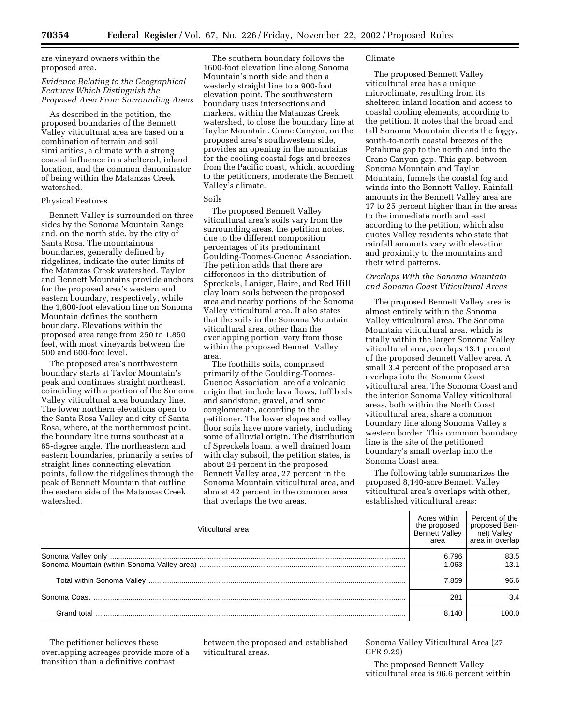are vineyard owners within the proposed area.

# *Evidence Relating to the Geographical Features Which Distinguish the Proposed Area From Surrounding Areas*

As described in the petition, the proposed boundaries of the Bennett Valley viticultural area are based on a combination of terrain and soil similarities, a climate with a strong coastal influence in a sheltered, inland location, and the common denominator of being within the Matanzas Creek watershed.

# Physical Features

Bennett Valley is surrounded on three sides by the Sonoma Mountain Range and, on the north side, by the city of Santa Rosa. The mountainous boundaries, generally defined by ridgelines, indicate the outer limits of the Matanzas Creek watershed. Taylor and Bennett Mountains provide anchors for the proposed area's western and eastern boundary, respectively, while the 1,600-foot elevation line on Sonoma Mountain defines the southern boundary. Elevations within the proposed area range from 250 to 1,850 feet, with most vineyards between the 500 and 600-foot level.

The proposed area's northwestern boundary starts at Taylor Mountain's peak and continues straight northeast, coinciding with a portion of the Sonoma Valley viticultural area boundary line. The lower northern elevations open to the Santa Rosa Valley and city of Santa Rosa, where, at the northernmost point, the boundary line turns southeast at a 65-degree angle. The northeastern and eastern boundaries, primarily a series of straight lines connecting elevation points, follow the ridgelines through the peak of Bennett Mountain that outline the eastern side of the Matanzas Creek watershed.

The southern boundary follows the 1600-foot elevation line along Sonoma Mountain's north side and then a westerly straight line to a 900-foot elevation point. The southwestern boundary uses intersections and markers, within the Matanzas Creek watershed, to close the boundary line at Taylor Mountain. Crane Canyon, on the proposed area's southwestern side, provides an opening in the mountains for the cooling coastal fogs and breezes from the Pacific coast, which, according to the petitioners, moderate the Bennett Valley's climate.

#### Soils

The proposed Bennett Valley viticultural area's soils vary from the surrounding areas, the petition notes, due to the different composition percentages of its predominant Goulding-Toomes-Guenoc Association. The petition adds that there are differences in the distribution of Spreckels, Laniger, Haire, and Red Hill clay loam soils between the proposed area and nearby portions of the Sonoma Valley viticultural area. It also states that the soils in the Sonoma Mountain viticultural area, other than the overlapping portion, vary from those within the proposed Bennett Valley area.

The foothills soils, comprised primarily of the Goulding-Toomes-Guenoc Association, are of a volcanic origin that include lava flows, tuff beds and sandstone, gravel, and some conglomerate, according to the petitioner. The lower slopes and valley floor soils have more variety, including some of alluvial origin. The distribution of Spreckels loam, a well drained loam with clay subsoil, the petition states, is about 24 percent in the proposed Bennett Valley area, 27 percent in the Sonoma Mountain viticultural area, and almost 42 percent in the common area that overlaps the two areas.

## Climate

The proposed Bennett Valley viticultural area has a unique microclimate, resulting from its sheltered inland location and access to coastal cooling elements, according to the petition. It notes that the broad and tall Sonoma Mountain diverts the foggy, south-to-north coastal breezes of the Petaluma gap to the north and into the Crane Canyon gap. This gap, between Sonoma Mountain and Taylor Mountain, funnels the coastal fog and winds into the Bennett Valley. Rainfall amounts in the Bennett Valley area are 17 to 25 percent higher than in the areas to the immediate north and east, according to the petition, which also quotes Valley residents who state that rainfall amounts vary with elevation and proximity to the mountains and their wind patterns.

# *Overlaps With the Sonoma Mountain and Sonoma Coast Viticultural Areas*

The proposed Bennett Valley area is almost entirely within the Sonoma Valley viticultural area. The Sonoma Mountain viticultural area, which is totally within the larger Sonoma Valley viticultural area, overlaps 13.1 percent of the proposed Bennett Valley area. A small 3.4 percent of the proposed area overlaps into the Sonoma Coast viticultural area. The Sonoma Coast and the interior Sonoma Valley viticultural areas, both within the North Coast viticultural area, share a common boundary line along Sonoma Valley's western border. This common boundary line is the site of the petitioned boundary's small overlap into the Sonoma Coast area.

The following table summarizes the proposed 8,140-acre Bennett Valley viticultural area's overlaps with other, established viticultural areas:

| Viticultural area | Acres within<br>the proposed<br>Bennett Valley<br>area | Percent of the<br>proposed Ben-<br>nett Valley<br>area in overlap |
|-------------------|--------------------------------------------------------|-------------------------------------------------------------------|
|                   | 6.796<br>1.063                                         | 83.5<br>13.1                                                      |
|                   | 7.859                                                  | 96.6                                                              |
|                   | 281                                                    | 3.4                                                               |
| Grand total       | 8.140                                                  | 100 O                                                             |

The petitioner believes these overlapping acreages provide more of a transition than a definitive contrast

between the proposed and established viticultural areas.

# Sonoma Valley Viticultural Area (27 CFR 9.29)

The proposed Bennett Valley viticultural area is 96.6 percent within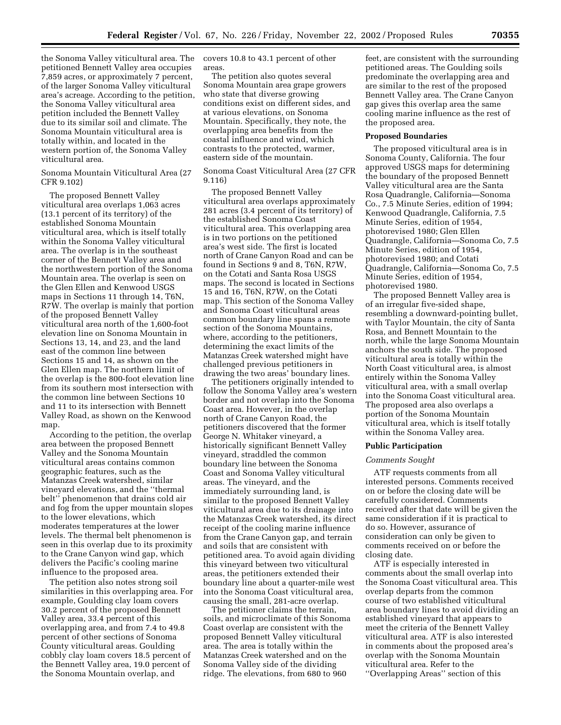the Sonoma Valley viticultural area. The petitioned Bennett Valley area occupies 7,859 acres, or approximately 7 percent, of the larger Sonoma Valley viticultural area's acreage. According to the petition, the Sonoma Valley viticultural area petition included the Bennett Valley due to its similar soil and climate. The Sonoma Mountain viticultural area is totally within, and located in the western portion of, the Sonoma Valley viticultural area.

Sonoma Mountain Viticultural Area (27 CFR 9.102)

The proposed Bennett Valley viticultural area overlaps 1,063 acres (13.1 percent of its territory) of the established Sonoma Mountain viticultural area, which is itself totally within the Sonoma Valley viticultural area. The overlap is in the southeast corner of the Bennett Valley area and the northwestern portion of the Sonoma Mountain area. The overlap is seen on the Glen Ellen and Kenwood USGS maps in Sections 11 through 14, T6N, R7W. The overlap is mainly that portion of the proposed Bennett Valley viticultural area north of the 1,600-foot elevation line on Sonoma Mountain in Sections 13, 14, and 23, and the land east of the common line between Sections 15 and 14, as shown on the Glen Ellen map. The northern limit of the overlap is the 800-foot elevation line from its southern most intersection with the common line between Sections 10 and 11 to its intersection with Bennett Valley Road, as shown on the Kenwood map.

According to the petition, the overlap area between the proposed Bennett Valley and the Sonoma Mountain viticultural areas contains common geographic features, such as the Matanzas Creek watershed, similar vineyard elevations, and the ''thermal belt'' phenomenon that drains cold air and fog from the upper mountain slopes to the lower elevations, which moderates temperatures at the lower levels. The thermal belt phenomenon is seen in this overlap due to its proximity to the Crane Canyon wind gap, which delivers the Pacific's cooling marine influence to the proposed area.

The petition also notes strong soil similarities in this overlapping area. For example, Goulding clay loam covers 30.2 percent of the proposed Bennett Valley area, 33.4 percent of this overlapping area, and from 7.4 to 49.8 percent of other sections of Sonoma County viticultural areas. Goulding cobbly clay loam covers 18.5 percent of the Bennett Valley area, 19.0 percent of the Sonoma Mountain overlap, and

covers 10.8 to 43.1 percent of other areas.

The petition also quotes several Sonoma Mountain area grape growers who state that diverse growing conditions exist on different sides, and at various elevations, on Sonoma Mountain. Specifically, they note, the overlapping area benefits from the coastal influence and wind, which contrasts to the protected, warmer, eastern side of the mountain.

Sonoma Coast Viticultural Area (27 CFR 9.116)

The proposed Bennett Valley viticultural area overlaps approximately 281 acres (3.4 percent of its territory) of the established Sonoma Coast viticultural area. This overlapping area is in two portions on the petitioned area's west side. The first is located north of Crane Canyon Road and can be found in Sections 9 and 8, T6N, R7W, on the Cotati and Santa Rosa USGS maps. The second is located in Sections 15 and 16, T6N, R7W, on the Cotati map. This section of the Sonoma Valley and Sonoma Coast viticultural areas common boundary line spans a remote section of the Sonoma Mountains, where, according to the petitioners, determining the exact limits of the Matanzas Creek watershed might have challenged previous petitioners in drawing the two areas' boundary lines.

The petitioners originally intended to follow the Sonoma Valley area's western border and not overlap into the Sonoma Coast area. However, in the overlap north of Crane Canyon Road, the petitioners discovered that the former George N. Whitaker vineyard, a historically significant Bennett Valley vineyard, straddled the common boundary line between the Sonoma Coast and Sonoma Valley viticultural areas. The vineyard, and the immediately surrounding land, is similar to the proposed Bennett Valley viticultural area due to its drainage into the Matanzas Creek watershed, its direct receipt of the cooling marine influence from the Crane Canyon gap, and terrain and soils that are consistent with petitioned area. To avoid again dividing this vineyard between two viticultural areas, the petitioners extended their boundary line about a quarter-mile west into the Sonoma Coast viticultural area, causing the small, 281-acre overlap.

The petitioner claims the terrain, soils, and microclimate of this Sonoma Coast overlap are consistent with the proposed Bennett Valley viticultural area. The area is totally within the Matanzas Creek watershed and on the Sonoma Valley side of the dividing ridge. The elevations, from 680 to 960

feet, are consistent with the surrounding petitioned areas. The Goulding soils predominate the overlapping area and are similar to the rest of the proposed Bennett Valley area. The Crane Canyon gap gives this overlap area the same cooling marine influence as the rest of the proposed area.

#### **Proposed Boundaries**

The proposed viticultural area is in Sonoma County, California. The four approved USGS maps for determining the boundary of the proposed Bennett Valley viticultural area are the Santa Rosa Quadrangle, California—Sonoma Co., 7.5 Minute Series, edition of 1994; Kenwood Quadrangle, California, 7.5 Minute Series, edition of 1954, photorevised 1980; Glen Ellen Quadrangle, California—Sonoma Co, 7.5 Minute Series, edition of 1954, photorevised 1980; and Cotati Quadrangle, California—Sonoma Co, 7.5 Minute Series, edition of 1954, photorevised 1980.

The proposed Bennett Valley area is of an irregular five-sided shape, resembling a downward-pointing bullet, with Taylor Mountain, the city of Santa Rosa, and Bennett Mountain to the north, while the large Sonoma Mountain anchors the south side. The proposed viticultural area is totally within the North Coast viticultural area, is almost entirely within the Sonoma Valley viticultural area, with a small overlap into the Sonoma Coast viticultural area. The proposed area also overlaps a portion of the Sonoma Mountain viticultural area, which is itself totally within the Sonoma Valley area.

#### **Public Participation**

#### *Comments Sought*

ATF requests comments from all interested persons. Comments received on or before the closing date will be carefully considered. Comments received after that date will be given the same consideration if it is practical to do so. However, assurance of consideration can only be given to comments received on or before the closing date.

ATF is especially interested in comments about the small overlap into the Sonoma Coast viticultural area. This overlap departs from the common course of two established viticultural area boundary lines to avoid dividing an established vineyard that appears to meet the criteria of the Bennett Valley viticultural area. ATF is also interested in comments about the proposed area's overlap with the Sonoma Mountain viticultural area. Refer to the ''Overlapping Areas'' section of this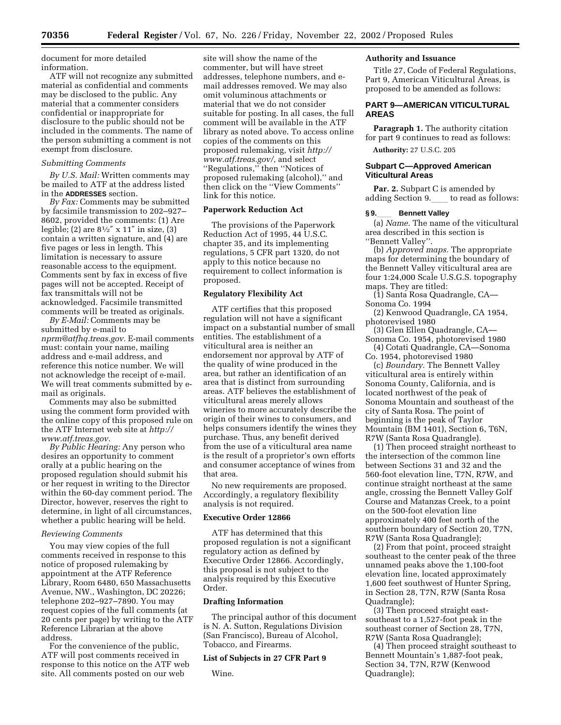document for more detailed information.

ATF will not recognize any submitted material as confidential and comments may be disclosed to the public. Any material that a commenter considers confidential or inappropriate for disclosure to the public should not be included in the comments. The name of the person submitting a comment is not exempt from disclosure.

#### *Submitting Comments*

*By U.S. Mail:* Written comments may be mailed to ATF at the address listed in the **ADDRESSES** section.

*By Fax:* Comments may be submitted by facsimile transmission to 202–927– 8602, provided the comments: (1) Are legible; (2) are  $8\frac{1}{2}$  x 11" in size, (3) contain a written signature, and (4) are five pages or less in length. This limitation is necessary to assure reasonable access to the equipment. Comments sent by fax in excess of five pages will not be accepted. Receipt of fax transmittals will not be acknowledged. Facsimile transmitted comments will be treated as originals.

*By E-Mail:* Comments may be submitted by e-mail to *[nprm@atfhq.treas.gov.](mailto:nprm@atfhq.treas.gov)* E-mail comments must: contain your name, mailing address and e-mail address, and reference this notice number. We will not acknowledge the receipt of e-mail. We will treat comments submitted by email as originals.

Comments may also be submitted using the comment form provided with the online copy of this proposed rule on [the ATF Internet web site at](http://www.atf.treas.gov/) *http:// www.atf.treas.gov.*

*By Public Hearing:* Any person who desires an opportunity to comment orally at a public hearing on the proposed regulation should submit his or her request in writing to the Director within the 60-day comment period. The Director, however, reserves the right to determine, in light of all circumstances, whether a public hearing will be held.

## *Reviewing Comments*

You may view copies of the full comments received in response to this notice of proposed rulemaking by appointment at the ATF Reference Library, Room 6480, 650 Massachusetts Avenue, NW., Washington, DC 20226; telephone 202–927–7890. You may request copies of the full comments (at 20 cents per page) by writing to the ATF Reference Librarian at the above address.

For the convenience of the public, ATF will post comments received in response to this notice on the ATF web site. All comments posted on our web

site will show the name of the commenter, but will have street addresses, telephone numbers, and email addresses removed. We may also omit voluminous attachments or material that we do not consider suitable for posting. In all cases, the full comment will be available in the ATF library as noted above. To access online copies of the comments on this [proposed rulemaking, visit](http://www.atf.treas.gov/) *http:// www.atf.treas.gov/,* and select ''Regulations,'' then ''Notices of proposed rulemaking (alcohol),'' and then click on the ''View Comments'' link for this notice.

# **Paperwork Reduction Act**

The provisions of the Paperwork Reduction Act of 1995, 44 U.S.C. chapter 35, and its implementing regulations, 5 CFR part 1320, do not apply to this notice because no requirement to collect information is proposed.

#### **Regulatory Flexibility Act**

ATF certifies that this proposed regulation will not have a significant impact on a substantial number of small entities. The establishment of a viticultural area is neither an endorsement nor approval by ATF of the quality of wine produced in the area, but rather an identification of an area that is distinct from surrounding areas. ATF believes the establishment of viticultural areas merely allows wineries to more accurately describe the origin of their wines to consumers, and helps consumers identify the wines they purchase. Thus, any benefit derived from the use of a viticultural area name is the result of a proprietor's own efforts and consumer acceptance of wines from that area.

No new requirements are proposed. Accordingly, a regulatory flexibility analysis is not required.

# **Executive Order 12866**

ATF has determined that this proposed regulation is not a significant regulatory action as defined by Executive Order 12866. Accordingly, this proposal is not subject to the analysis required by this Executive Order.

## **Drafting Information**

The principal author of this document is N. A. Sutton, Regulations Division (San Francisco), Bureau of Alcohol, Tobacco, and Firearms.

## **List of Subjects in 27 CFR Part 9**

Wine.

# **Authority and Issuance**

Title 27, Code of Federal Regulations, Part 9, American Viticultural Areas, is proposed to be amended as follows:

# **PART 9—AMERICAN VITICULTURAL AREAS**

**Paragraph 1.** The authority citation for part 9 continues to read as follows: **Authority:** 27 U.S.C. 205

## **Subpart C—Approved American Viticultural Areas**

**Par. 2.** Subpart C is amended by adding Section 9.<br>Summetric Valley<br>Summetric Valley

**§ 9.**ll **Bennett Valley**  (a) *Name.* The name of the viticultural area described in this section is ''Bennett Valley''.

(b) *Approved maps.* The appropriate maps for determining the boundary of the Bennett Valley viticultural area are four 1:24,000 Scale U.S.G.S. topography maps. They are titled:

(1) Santa Rosa Quadrangle, CA— Sonoma Co. 1994

(2) Kenwood Quadrangle, CA 1954, photorevised 1980

(3) Glen Ellen Quadrangle, CA— Sonoma Co. 1954, photorevised 1980 (4) Cotati Quadrangle, CA—Sonoma

Co. 1954, photorevised 1980

(c) *Boundary.* The Bennett Valley viticultural area is entirely within Sonoma County, California, and is located northwest of the peak of Sonoma Mountain and southeast of the city of Santa Rosa. The point of beginning is the peak of Taylor Mountain (BM 1401), Section 6, T6N, R7W (Santa Rosa Quadrangle).

(1) Then proceed straight northeast to the intersection of the common line between Sections 31 and 32 and the 560-foot elevation line, T7N, R7W, and continue straight northeast at the same angle, crossing the Bennett Valley Golf Course and Matanzas Creek, to a point on the 500-foot elevation line approximately 400 feet north of the southern boundary of Section 20, T7N, R7W (Santa Rosa Quadrangle);

(2) From that point, proceed straight southeast to the center peak of the three unnamed peaks above the 1,100-foot elevation line, located approximately 1,600 feet southwest of Hunter Spring, in Section 28, T7N, R7W (Santa Rosa Quadrangle);

(3) Then proceed straight eastsoutheast to a 1,527-foot peak in the southeast corner of Section 28, T7N, R7W (Santa Rosa Quadrangle);

(4) Then proceed straight southeast to Bennett Mountain's 1,887-foot peak, Section 34, T7N, R7W (Kenwood Quadrangle);